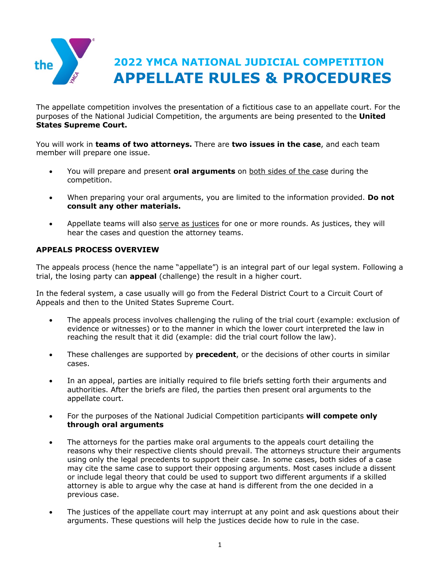

The appellate competition involves the presentation of a fictitious case to an appellate court. For the purposes of the National Judicial Competition, the arguments are being presented to the **United States Supreme Court.**

You will work in **teams of two attorneys.** There are **two issues in the case**, and each team member will prepare one issue.

- You will prepare and present **oral arguments** on both sides of the case during the competition.
- When preparing your oral arguments, you are limited to the information provided. **Do not consult any other materials.**
- Appellate teams will also serve as justices for one or more rounds. As justices, they will hear the cases and question the attorney teams.

# **APPEALS PROCESS OVERVIEW**

The appeals process (hence the name "appellate") is an integral part of our legal system. Following a trial, the losing party can **appeal** (challenge) the result in a higher court.

In the federal system, a case usually will go from the Federal District Court to a Circuit Court of Appeals and then to the United States Supreme Court.

- The appeals process involves challenging the ruling of the trial court (example: exclusion of evidence or witnesses) or to the manner in which the lower court interpreted the law in reaching the result that it did (example: did the trial court follow the law).
- These challenges are supported by **precedent**, or the decisions of other courts in similar cases.
- In an appeal, parties are initially required to file briefs setting forth their arguments and authorities. After the briefs are filed, the parties then present oral arguments to the appellate court.
- For the purposes of the National Judicial Competition participants **will compete only through oral arguments**
- The attorneys for the parties make oral arguments to the appeals court detailing the reasons why their respective clients should prevail. The attorneys structure their arguments using only the legal precedents to support their case. In some cases, both sides of a case may cite the same case to support their opposing arguments. Most cases include a dissent or include legal theory that could be used to support two different arguments if a skilled attorney is able to argue why the case at hand is different from the one decided in a previous case.
- The justices of the appellate court may interrupt at any point and ask questions about their arguments. These questions will help the justices decide how to rule in the case.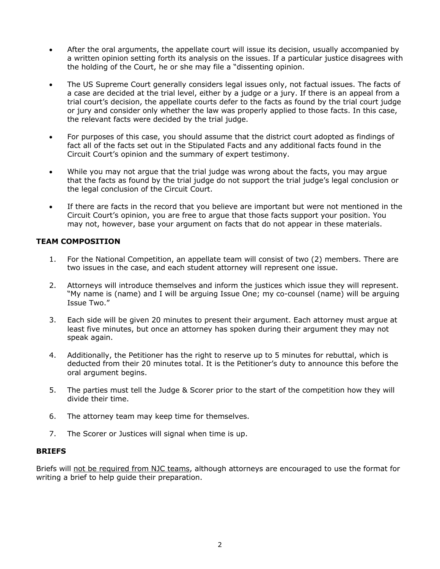- After the oral arguments, the appellate court will issue its decision, usually accompanied by a written opinion setting forth its analysis on the issues. If a particular justice disagrees with the holding of the Court, he or she may file a "dissenting opinion.
- The US Supreme Court generally considers legal issues only, not factual issues. The facts of a case are decided at the trial level, either by a judge or a jury. If there is an appeal from a trial court's decision, the appellate courts defer to the facts as found by the trial court judge or jury and consider only whether the law was properly applied to those facts. In this case, the relevant facts were decided by the trial judge.
- For purposes of this case, you should assume that the district court adopted as findings of fact all of the facts set out in the Stipulated Facts and any additional facts found in the Circuit Court's opinion and the summary of expert testimony.
- While you may not argue that the trial judge was wrong about the facts, you may argue that the facts as found by the trial judge do not support the trial judge's legal conclusion or the legal conclusion of the Circuit Court.
- If there are facts in the record that you believe are important but were not mentioned in the Circuit Court's opinion, you are free to argue that those facts support your position. You may not, however, base your argument on facts that do not appear in these materials.

# **TEAM COMPOSITION**

- 1. For the National Competition, an appellate team will consist of two (2) members. There are two issues in the case, and each student attorney will represent one issue.
- 2. Attorneys will introduce themselves and inform the justices which issue they will represent. "My name is (name) and I will be arguing Issue One; my co-counsel (name) will be arguing Issue Two."
- 3. Each side will be given 20 minutes to present their argument. Each attorney must argue at least five minutes, but once an attorney has spoken during their argument they may not speak again.
- 4. Additionally, the Petitioner has the right to reserve up to 5 minutes for rebuttal, which is deducted from their 20 minutes total. It is the Petitioner's duty to announce this before the oral argument begins.
- 5. The parties must tell the Judge & Scorer prior to the start of the competition how they will divide their time.
- 6. The attorney team may keep time for themselves.
- 7. The Scorer or Justices will signal when time is up.

## **BRIEFS**

Briefs will not be required from NJC teams, although attorneys are encouraged to use the format for writing a brief to help guide their preparation.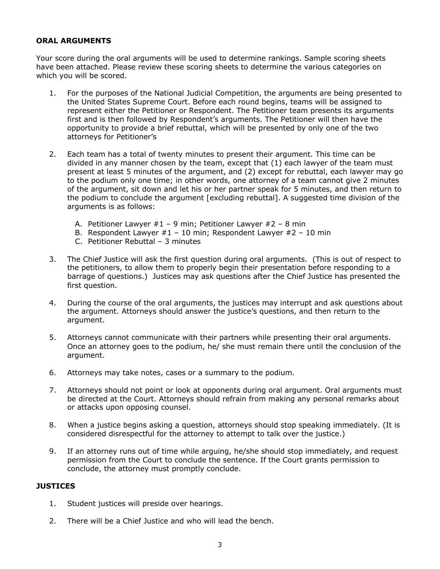## **ORAL ARGUMENTS**

Your score during the oral arguments will be used to determine rankings. Sample scoring sheets have been attached. Please review these scoring sheets to determine the various categories on which you will be scored.

- 1. For the purposes of the National Judicial Competition, the arguments are being presented to the United States Supreme Court. Before each round begins, teams will be assigned to represent either the Petitioner or Respondent. The Petitioner team presents its arguments first and is then followed by Respondent's arguments. The Petitioner will then have the opportunity to provide a brief rebuttal, which will be presented by only one of the two attorneys for Petitioner's
- 2. Each team has a total of twenty minutes to present their argument. This time can be divided in any manner chosen by the team, except that (1) each lawyer of the team must present at least 5 minutes of the argument, and (2) except for rebuttal, each lawyer may go to the podium only one time; in other words, one attorney of a team cannot give 2 minutes of the argument, sit down and let his or her partner speak for 5 minutes, and then return to the podium to conclude the argument [excluding rebuttal]. A suggested time division of the arguments is as follows:
	- A. Petitioner Lawyer  $#1 9$  min; Petitioner Lawyer  $#2 8$  min
	- B. Respondent Lawyer  $#1 10$  min; Respondent Lawyer  $#2 10$  min
	- C. Petitioner Rebuttal 3 minutes
- 3. The Chief Justice will ask the first question during oral arguments. (This is out of respect to the petitioners, to allow them to properly begin their presentation before responding to a barrage of questions.) Justices may ask questions after the Chief Justice has presented the first question.
- 4. During the course of the oral arguments, the justices may interrupt and ask questions about the argument. Attorneys should answer the justice's questions, and then return to the argument.
- 5. Attorneys cannot communicate with their partners while presenting their oral arguments. Once an attorney goes to the podium, he/ she must remain there until the conclusion of the argument.
- 6. Attorneys may take notes, cases or a summary to the podium.
- 7. Attorneys should not point or look at opponents during oral argument. Oral arguments must be directed at the Court. Attorneys should refrain from making any personal remarks about or attacks upon opposing counsel.
- 8. When a justice begins asking a question, attorneys should stop speaking immediately. (It is considered disrespectful for the attorney to attempt to talk over the justice.)
- 9. If an attorney runs out of time while arguing, he/she should stop immediately, and request permission from the Court to conclude the sentence. If the Court grants permission to conclude, the attorney must promptly conclude.

## **JUSTICES**

- 1. Student justices will preside over hearings.
- 2. There will be a Chief Justice and who will lead the bench.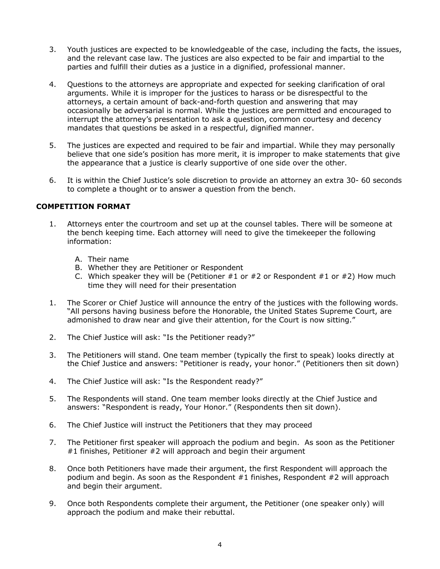- 3. Youth justices are expected to be knowledgeable of the case, including the facts, the issues, and the relevant case law. The justices are also expected to be fair and impartial to the parties and fulfill their duties as a justice in a dignified, professional manner.
- 4. Questions to the attorneys are appropriate and expected for seeking clarification of oral arguments. While it is improper for the justices to harass or be disrespectful to the attorneys, a certain amount of back-and-forth question and answering that may occasionally be adversarial is normal. While the justices are permitted and encouraged to interrupt the attorney's presentation to ask a question, common courtesy and decency mandates that questions be asked in a respectful, dignified manner.
- 5. The justices are expected and required to be fair and impartial. While they may personally believe that one side's position has more merit, it is improper to make statements that give the appearance that a justice is clearly supportive of one side over the other.
- 6. It is within the Chief Justice's sole discretion to provide an attorney an extra 30- 60 seconds to complete a thought or to answer a question from the bench.

# **COMPETITION FORMAT**

- 1. Attorneys enter the courtroom and set up at the counsel tables. There will be someone at the bench keeping time. Each attorney will need to give the timekeeper the following information:
	- A. Their name
	- B. Whether they are Petitioner or Respondent
	- C. Which speaker they will be (Petitioner  $#1$  or  $#2$  or Respondent  $#1$  or  $#2$ ) How much time they will need for their presentation
- 1. The Scorer or Chief Justice will announce the entry of the justices with the following words. "All persons having business before the Honorable, the United States Supreme Court, are admonished to draw near and give their attention, for the Court is now sitting."
- 2. The Chief Justice will ask: "Is the Petitioner ready?"
- 3. The Petitioners will stand. One team member (typically the first to speak) looks directly at the Chief Justice and answers: "Petitioner is ready, your honor." (Petitioners then sit down)
- 4. The Chief Justice will ask: "Is the Respondent ready?"
- 5. The Respondents will stand. One team member looks directly at the Chief Justice and answers: "Respondent is ready, Your Honor." (Respondents then sit down).
- 6. The Chief Justice will instruct the Petitioners that they may proceed
- 7. The Petitioner first speaker will approach the podium and begin. As soon as the Petitioner #1 finishes, Petitioner #2 will approach and begin their argument
- 8. Once both Petitioners have made their argument, the first Respondent will approach the podium and begin. As soon as the Respondent #1 finishes, Respondent #2 will approach and begin their argument.
- 9. Once both Respondents complete their argument, the Petitioner (one speaker only) will approach the podium and make their rebuttal.